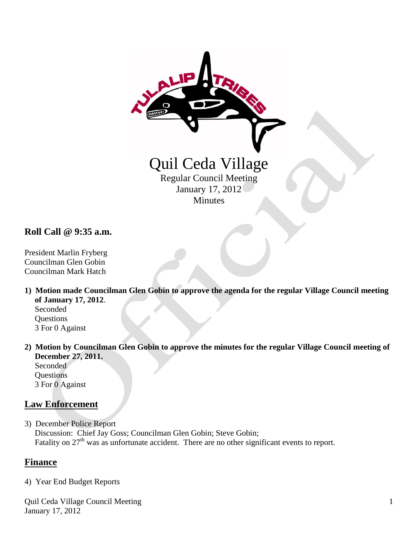

**Roll Call @ 9:35 a.m.**

President Marlin Fryberg Councilman Glen Gobin Councilman Mark Hatch

**1) Motion made Councilman Glen Gobin to approve the agenda for the regular Village Council meeting of January 17, 2012**. Seconded

**Ouestions** 3 For 0 Against

**2) Motion by Councilman Glen Gobin to approve the minutes for the regular Village Council meeting of December 27, 2011.**

Seconded **Questions** 3 For 0 Against

# **Law Enforcement**

3) December Police Report Discussion: Chief Jay Goss; Councilman Glen Gobin; Steve Gobin; Fatality on 27<sup>th</sup> was as unfortunate accident. There are no other significant events to report.

#### **Finance**

4) Year End Budget Reports

Quil Ceda Village Council Meeting January 17, 2012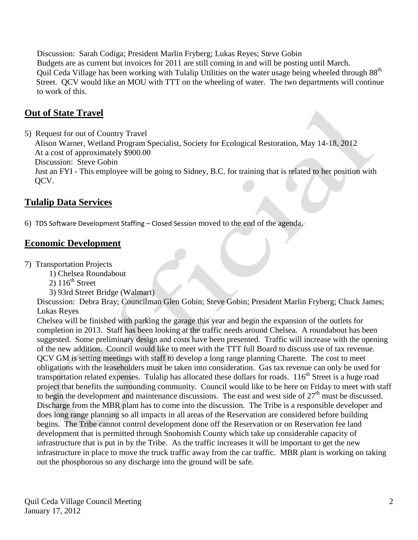Discussion: Sarah Codiga; President Marlin Fryberg; Lukas Reyes; Steve Gobin Budgets are as current but invoices for 2011 are still coming in and will be posting until March. Quil Ceda Village has been working with Tulalip Utilities on the water usage being wheeled through 88th Street. QCV would like an MOU with TTT on the wheeling of water. The two departments will continue to work of this.

# **Out of State Travel**

5) Request for out of Country Travel Alison Warner, Wetland Program Specialist, Society for Ecological Restoration, May 14-18, 2012 At a cost of approximately \$900.00 Discussion: Steve Gobin Just an FYI - This employee will be going to Sidney, B.C. for training that is related to her position with QCV.

# **Tulalip Data Services**

6) TDS Software Development Staffing – Closed Session moved to the end of the agenda.

## **Economic Development**

7) Transportation Projects

- 1) Chelsea Roundabout
- $2)$  116<sup>th</sup> Street
- 3) 93rd Street Bridge (Walmart)

 Discussion: Debra Bray; Councilman Glen Gobin; Steve Gobin; President Marlin Fryberg; Chuck James; Lukas Reyes

 Chelsea will be finished with parking the garage this year and begin the expansion of the outlets for completion in 2013. Staff has been looking at the traffic needs around Chelsea. A roundabout has been suggested. Some preliminary design and costs have been presented. Traffic will increase with the opening of the new addition. Council would like to meet with the TTT full Board to discuss use of tax revenue. QCV GM is setting meetings with staff to develop a long range planning Charette. The cost to meet obligations with the leaseholders must be taken into consideration. Gas tax revenue can only be used for transportation related expenses. Tulalip has allocated these dollars for roads. 116<sup>th</sup> Street is a huge road project that benefits the surrounding community. Council would like to be here on Friday to meet with staff to begin the development and maintenance discussions. The east and west side of  $27<sup>th</sup>$  must be discussed. Discharge from the MBR plant has to come into the discussion. The Tribe is a responsible developer and does long range planning so all impacts in all areas of the Reservation are considered before building begins. The Tribe cannot control development done off the Reservation or on Reservation fee land development that is permitted through Snohomish County which take up considerable capacity of infrastructure that is put in by the Tribe. As the traffic increases it will be important to get the new infrastructure in place to move the truck traffic away from the car traffic. MBR plant is working on taking out the phosphorous so any discharge into the ground will be safe.